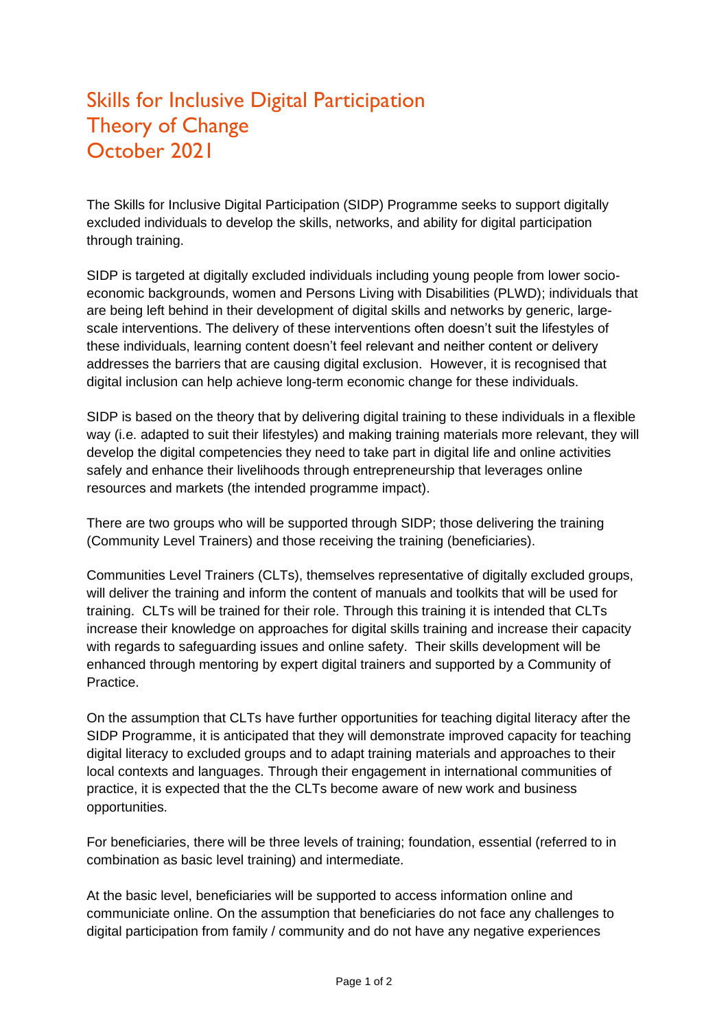## Skills for Inclusive Digital Participation Theory of Change October 2021

The Skills for Inclusive Digital Participation (SIDP) Programme seeks to support digitally excluded individuals to develop the skills, networks, and ability for digital participation through training.

SIDP is targeted at digitally excluded individuals including young people from lower socioeconomic backgrounds, women and Persons Living with Disabilities (PLWD); individuals that are being left behind in their development of digital skills and networks by generic, largescale interventions. The delivery of these interventions often doesn't suit the lifestyles of these individuals, learning content doesn't feel relevant and neither content or delivery addresses the barriers that are causing digital exclusion. However, it is recognised that digital inclusion can help achieve long-term economic change for these individuals.

SIDP is based on the theory that by delivering digital training to these individuals in a flexible way (i.e. adapted to suit their lifestyles) and making training materials more relevant, they will develop the digital competencies they need to take part in digital life and online activities safely and enhance their livelihoods through entrepreneurship that leverages online resources and markets (the intended programme impact).

There are two groups who will be supported through SIDP; those delivering the training (Community Level Trainers) and those receiving the training (beneficiaries).

Communities Level Trainers (CLTs), themselves representative of digitally excluded groups, will deliver the training and inform the content of manuals and toolkits that will be used for training. CLTs will be trained for their role. Through this training it is intended that CLTs increase their knowledge on approaches for digital skills training and increase their capacity with regards to safeguarding issues and online safety. Their skills development will be enhanced through mentoring by expert digital trainers and supported by a Community of Practice.

On the assumption that CLTs have further opportunities for teaching digital literacy after the SIDP Programme, it is anticipated that they will demonstrate improved capacity for teaching digital literacy to excluded groups and to adapt training materials and approaches to their local contexts and languages. Through their engagement in international communities of practice, it is expected that the the CLTs become aware of new work and business opportunities.

For beneficiaries, there will be three levels of training; foundation, essential (referred to in combination as basic level training) and intermediate.

At the basic level, beneficiaries will be supported to access information online and communiciate online. On the assumption that beneficiaries do not face any challenges to digital participation from family / community and do not have any negative experiences